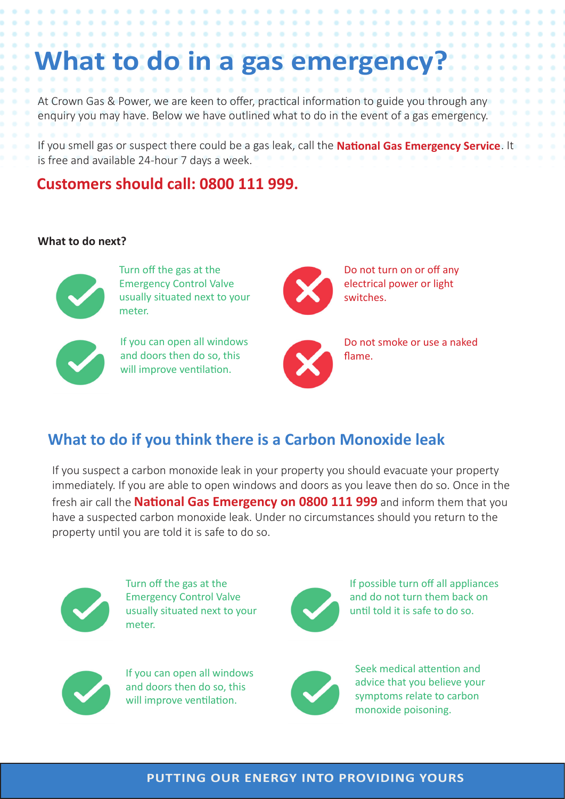# at to do in a gas emergency?

At Crown Gas & Power, we are keen to offer, practical information to guide you through any enquiry you may have. Below we have outlined what to do in the event of a gas emergency.

If you smell gas or suspect there could be a gas leak, call the **National Gas Emergency Service**. It is free and available 24-hour 7 days a week.

## **Customers should call: 0800 111 999.**

. . . . . . . .

#### **What to do next?**



Turn off the gas at the Emergency Control Valve usually situated next to your meter.



If you can open all windows and doors then do so, this will improve ventilation.



Do not turn on or off any electrical power or light switches.



Do not smoke or use a naked flame.

# **What to do if you think there is a Carbon Monoxide leak**

If you suspect a carbon monoxide leak in your property you should evacuate your property immediately. If you are able to open windows and doors as you leave then do so. Once in the fresh air call the **National Gas Emergency on 0800 111 999** and inform them that you have a suspected carbon monoxide leak. Under no circumstances should you return to the property until you are told it is safe to do so.



Turn off the gas at the Emergency Control Valve usually situated next to your meter.



If possible turn off all appliances and do not turn them back on until told it is safe to do so.



If you can open all windows and doors then do so, this will improve ventilation.



Seek medical attention and advice that you believe your symptoms relate to carbon monoxide poisoning.

#### **PUTTING OUR ENERGY INTO PROVIDING YOURS**